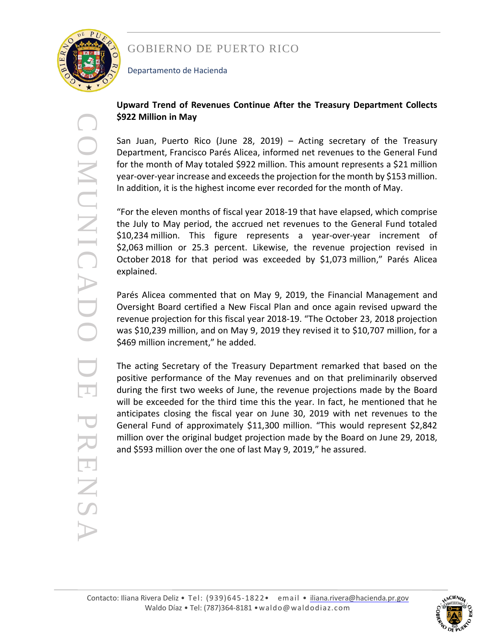

Departamento de Hacienda

#### **Upward Trend of Revenues Continue After the Treasury Department Collects \$922 Million in May**

San Juan, Puerto Rico (June 28, 2019) – Acting secretary of the Treasury Department, Francisco Parés Alicea, informed net revenues to the General Fund for the month of May totaled \$922 million. This amount represents a \$21 million year -over -year increase and exceedsthe projection for the month by \$153 million . In addition, it is the highest income ever recorded for the month of May.

"For the eleven months of fiscal year 2018-19 that have elapsed, which comprise the July to May period, the accrued net revenues to the General Fund totaled \$10,234 million. This figure represent s a year -over -year increment of \$2,063 million or 25.3 percent . Likewise, the revenue projection revised in October 2018 for that period was exceeded by \$1,073 million," Parés Alicea explained.

Parés Alicea commented that on May 9, 2019, the Financial Management and Oversight Board certified a New Fiscal Plan and once again revised upward the revenue projection for this fiscal year 2018 -19. "The October 23, 2018 projection was \$10,239 million, and on May 9, 2019 they revised it to \$10,707 million, for a \$469 million increment," he added.

The acting Secretary of the Treasury Department remarked that based on the positive performance of the May revenues and on that preliminarily observed during the first two weeks of June, the revenue projections made by the Board will be exceeded for the third time this the year. In fact, he m entioned that he anticipates closing the fiscal year on June 30, 2019 with net revenues to the General Fund of approximately \$11,300 million. "This would represent \$2,842 million over the original budget projection made by the Board on June 29, 2018, and \$593 million over the one of last May 9, 2019," he assured.

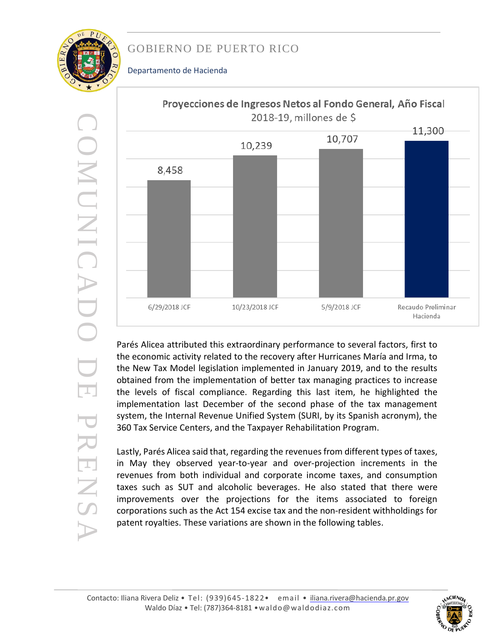#### Departamento de Hacienda

COMUNICADO CONUNICADO **DE** PRENSA PRENS



Parés Alicea attributed this extraordinary performance to several factors , first to the economic activity related to the recovery after Hurricanes María and Irma, to the New Tax Model legislation implemented in January 2019, and to the results obtained from the implementation of better tax managing practices to increase the levels of fiscal compliance. Regarding this last item, he highlighted the implementation last December of the second phase of the tax management system, the Internal Revenue Unified System (SURI, by its Spanish acronym), the 360 Tax Service Centers, and the Taxpayer Rehabilitation Program.

Lastly, Parés Alicea said that, regarding the revenues from different types of taxes, in May they observed year-to-year and over-projection increments in the revenues from both individual and corporate income taxes, and consumption taxes such as SUT and alcoholic beverages. He also stated that there were improvements over the projections for the items associated to foreign corporations such as the Act 154 excise tax and the non -resident withholding s for patent royalties. These variations are shown in the following tables .

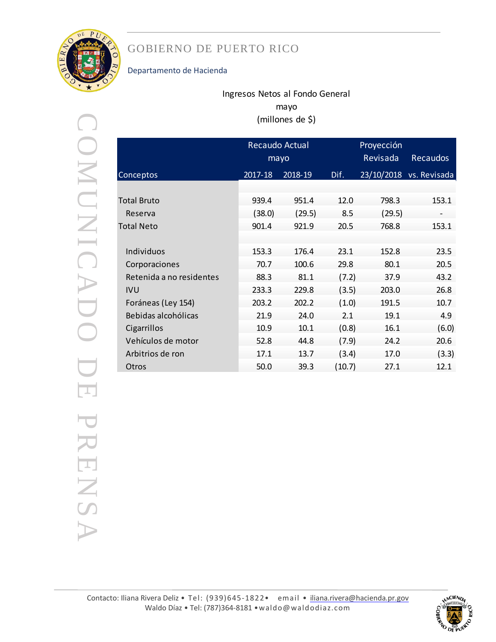

#### Departamento de Hacienda

### Ingresos Netos al Fondo General mayo (millones de \$)

| I                       |
|-------------------------|
|                         |
|                         |
| l                       |
| ĺ                       |
|                         |
|                         |
| $\overline{\mathbb{I}}$ |
|                         |
|                         |
|                         |
| Ĩ.                      |
| ļ.                      |
| ò.<br>I                 |
|                         |
| l                       |
| I                       |
|                         |
|                         |

|                          |         | Recaudo Actual<br>mayo |        | Proyección<br>Revisada | <b>Recaudos</b>         |
|--------------------------|---------|------------------------|--------|------------------------|-------------------------|
|                          |         |                        |        |                        |                         |
| Conceptos                | 2017-18 | 2018-19                | Dif.   |                        | 23/10/2018 vs. Revisada |
|                          |         |                        |        |                        |                         |
| Total Bruto              | 939.4   | 951.4                  | 12.0   | 798.3                  | 153.1                   |
| Reserva                  | (38.0)  | (29.5)                 | 8.5    | (29.5)                 |                         |
| <b>Total Neto</b>        | 901.4   | 921.9                  | 20.5   | 768.8                  | 153.1                   |
|                          |         |                        |        |                        |                         |
| Individuos               | 153.3   | 176.4                  | 23.1   | 152.8                  | 23.5                    |
| Corporaciones            | 70.7    | 100.6                  | 29.8   | 80.1                   | 20.5                    |
| Retenida a no residentes | 88.3    | 81.1                   | (7.2)  | 37.9                   | 43.2                    |
| <b>IVU</b>               | 233.3   | 229.8                  | (3.5)  | 203.0                  | 26.8                    |
| Foráneas (Ley 154)       | 203.2   | 202.2                  | (1.0)  | 191.5                  | 10.7                    |
| Bebidas alcohólicas      | 21.9    | 24.0                   | 2.1    | 19.1                   | 4.9                     |
| Cigarrillos              | 10.9    | 10.1                   | (0.8)  | 16.1                   | (6.0)                   |
| Vehículos de motor       | 52.8    | 44.8                   | (7.9)  | 24.2                   | 20.6                    |
| Arbitrios de ron         | 17.1    | 13.7                   | (3.4)  | 17.0                   | (3.3)                   |
| Otros                    | 50.0    | 39.3                   | (10.7) | 27.1                   | 12.1                    |